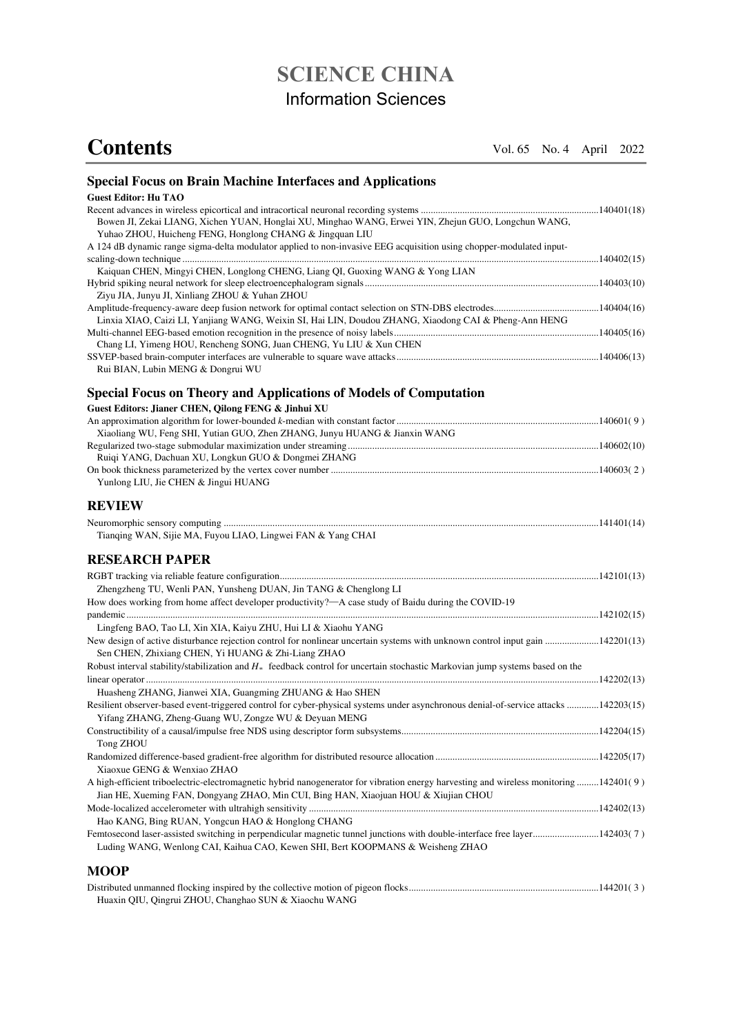# **SCIENCE CHINA**  Information Sciences

# **Contents** Vol. 65 No. 4 April 2022

| <b>Special Focus on Brain Machine Interfaces and Applications</b>                                                                                                                                                            |  |
|------------------------------------------------------------------------------------------------------------------------------------------------------------------------------------------------------------------------------|--|
| <b>Guest Editor: Hu TAO</b>                                                                                                                                                                                                  |  |
| Bowen JI, Zekai LIANG, Xichen YUAN, Honglai XU, Minghao WANG, Erwei YIN, Zhejun GUO, Longchun WANG,<br>Yuhao ZHOU, Huicheng FENG, Honglong CHANG & Jingquan LIU                                                              |  |
| A 124 dB dynamic range sigma-delta modulator applied to non-invasive EEG acquisition using chopper-modulated input-                                                                                                          |  |
| Kaiquan CHEN, Mingyi CHEN, Longlong CHENG, Liang QI, Guoxing WANG & Yong LIAN                                                                                                                                                |  |
| Ziyu JIA, Junyu JI, Xinliang ZHOU & Yuhan ZHOU                                                                                                                                                                               |  |
| Linxia XIAO, Caizi LI, Yanjiang WANG, Weixin SI, Hai LIN, Doudou ZHANG, Xiaodong CAI & Pheng-Ann HENG                                                                                                                        |  |
| Chang LI, Yimeng HOU, Rencheng SONG, Juan CHENG, Yu LIU & Xun CHEN                                                                                                                                                           |  |
| Rui BIAN, Lubin MENG & Dongrui WU                                                                                                                                                                                            |  |
| <b>Special Focus on Theory and Applications of Models of Computation</b>                                                                                                                                                     |  |
| Guest Editors: Jianer CHEN, Qilong FENG & Jinhui XU                                                                                                                                                                          |  |
|                                                                                                                                                                                                                              |  |
| Xiaoliang WU, Feng SHI, Yutian GUO, Zhen ZHANG, Junyu HUANG & Jianxin WANG                                                                                                                                                   |  |
| Ruiqi YANG, Dachuan XU, Longkun GUO & Dongmei ZHANG                                                                                                                                                                          |  |
| Yunlong LIU, Jie CHEN & Jingui HUANG                                                                                                                                                                                         |  |
| <b>REVIEW</b>                                                                                                                                                                                                                |  |
| Tianqing WAN, Sijie MA, Fuyou LIAO, Lingwei FAN & Yang CHAI                                                                                                                                                                  |  |
| <b>RESEARCH PAPER</b>                                                                                                                                                                                                        |  |
|                                                                                                                                                                                                                              |  |
| Zhengzheng TU, Wenli PAN, Yunsheng DUAN, Jin TANG & Chenglong LI                                                                                                                                                             |  |
| How does working from home affect developer productivity?—A case study of Baidu during the COVID-19                                                                                                                          |  |
|                                                                                                                                                                                                                              |  |
| Lingfeng BAO, Tao LI, Xin XIA, Kaiyu ZHU, Hui LI & Xiaohu YANG<br>New design of active disturbance rejection control for nonlinear uncertain systems with unknown control input gain  142201(13)                             |  |
| Sen CHEN, Zhixiang CHEN, Yi HUANG & Zhi-Liang ZHAO<br>Robust interval stability/stabilization and $H_{\infty}$ feedback control for uncertain stochastic Markovian jump systems based on the                                 |  |
|                                                                                                                                                                                                                              |  |
| Huasheng ZHANG, Jianwei XIA, Guangming ZHUANG & Hao SHEN                                                                                                                                                                     |  |
| Resilient observer-based event-triggered control for cyber-physical systems under asynchronous denial-of-service attacks 142203(15)<br>Yifang ZHANG, Zheng-Guang WU, Zongze WU & Deyuan MENG                                 |  |
| Tong ZHOU                                                                                                                                                                                                                    |  |
| Xiaoxue GENG & Wenxiao ZHAO                                                                                                                                                                                                  |  |
| A high-efficient triboelectric-electromagnetic hybrid nanogenerator for vibration energy harvesting and wireless monitoring 142401(9)<br>Jian HE, Xueming FAN, Dongyang ZHAO, Min CUI, Bing HAN, Xiaojuan HOU & Xiujian CHOU |  |
|                                                                                                                                                                                                                              |  |
| Hao KANG, Bing RUAN, Yongcun HAO & Honglong CHANG                                                                                                                                                                            |  |
| Femtosecond laser-assisted switching in perpendicular magnetic tunnel junctions with double-interface free layer142403(7)<br>Luding WANG, Wenlong CAI, Kaihua CAO, Kewen SHI, Bert KOOPMANS & Weisheng ZHAO                  |  |

## **MOOP**

| Huaxin QIU, Qingrui ZHOU, Changhao SUN & Xiaochu WANG |  |
|-------------------------------------------------------|--|